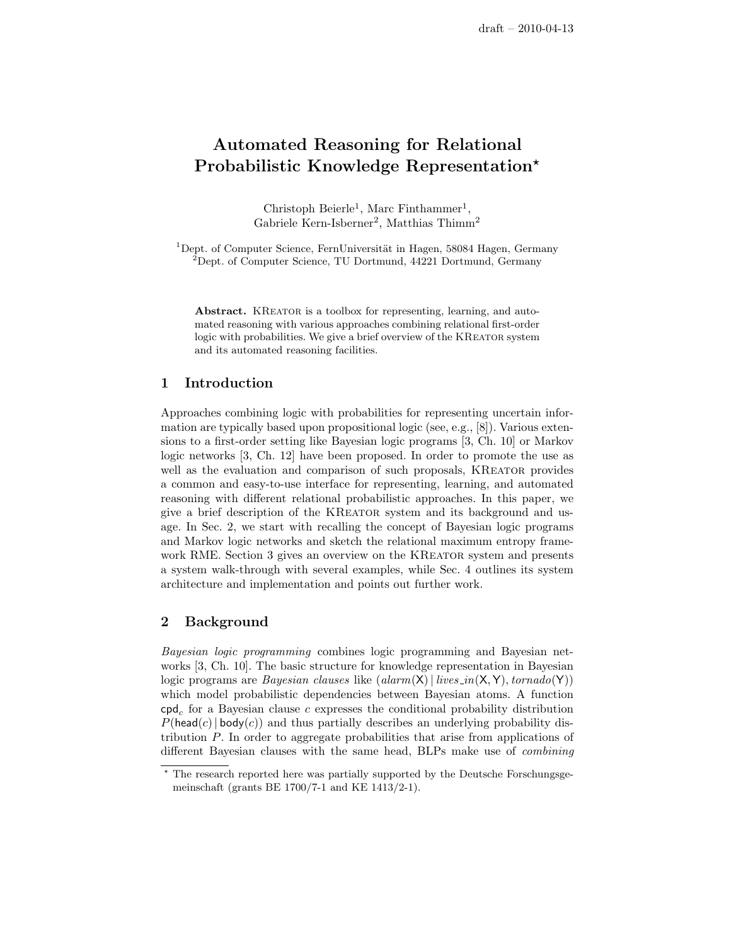# Automated Reasoning for Relational Probabilistic Knowledge Representation<sup>\*</sup>

Christoph Beierle<sup>1</sup>, Marc Finthammer<sup>1</sup>, Gabriele Kern-Isberner<sup>2</sup>, Matthias Thimm<sup>2</sup>

 $1$ Dept. of Computer Science, FernUniversität in Hagen, 58084 Hagen, Germany  ${}^{2}$ Dept. of Computer Science, TU Dortmund, 44221 Dortmund, Germany

Abstract. KREATOR is a toolbox for representing, learning, and automated reasoning with various approaches combining relational first-order logic with probabilities. We give a brief overview of the KREATOR system and its automated reasoning facilities.

### 1 Introduction

Approaches combining logic with probabilities for representing uncertain information are typically based upon propositional logic (see, e.g., [8]). Various extensions to a first-order setting like Bayesian logic programs [3, Ch. 10] or Markov logic networks [3, Ch. 12] have been proposed. In order to promote the use as well as the evaluation and comparison of such proposals, KREATOR provides a common and easy-to-use interface for representing, learning, and automated reasoning with different relational probabilistic approaches. In this paper, we give a brief description of the KREATOR system and its background and usage. In Sec. 2, we start with recalling the concept of Bayesian logic programs and Markov logic networks and sketch the relational maximum entropy framework RME. Section 3 gives an overview on the KREATOR system and presents a system walk-through with several examples, while Sec. 4 outlines its system architecture and implementation and points out further work.

## 2 Background

Bayesian logic programming combines logic programming and Bayesian networks [3, Ch. 10]. The basic structure for knowledge representation in Bayesian logic programs are *Bayesian clauses* like  $(alarm(X) \mid lives_in(X, Y), tornado(Y))$ which model probabilistic dependencies between Bayesian atoms. A function  $\text{cpd}_c$  for a Bayesian clause c expresses the conditional probability distribution  $P(\mathsf{head}(c) | \mathsf{body}(c))$  and thus partially describes an underlying probability distribution P. In order to aggregate probabilities that arise from applications of different Bayesian clauses with the same head, BLPs make use of combining

<sup>?</sup> The research reported here was partially supported by the Deutsche Forschungsgemeinschaft (grants BE 1700/7-1 and KE 1413/2-1).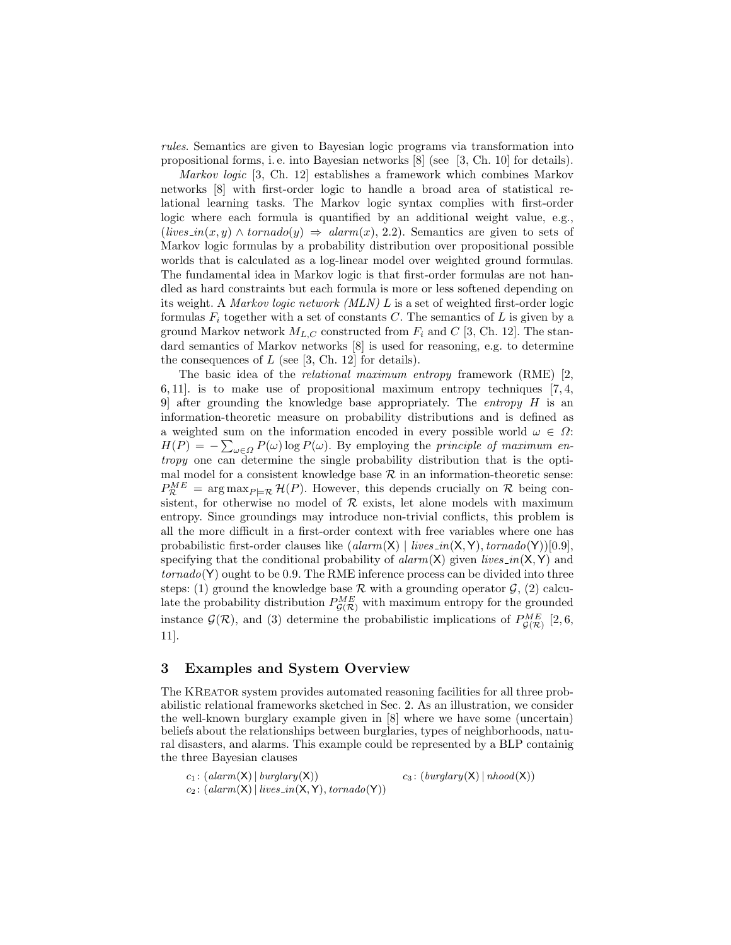rules. Semantics are given to Bayesian logic programs via transformation into propositional forms, i. e. into Bayesian networks [8] (see [3, Ch. 10] for details).

Markov logic [3, Ch. 12] establishes a framework which combines Markov networks [8] with first-order logic to handle a broad area of statistical relational learning tasks. The Markov logic syntax complies with first-order logic where each formula is quantified by an additional weight value, e.g.,  $(lives_in(x, y) \wedge tornado(y) \Rightarrow alarm(x), 2.2)$ . Semantics are given to sets of Markov logic formulas by a probability distribution over propositional possible worlds that is calculated as a log-linear model over weighted ground formulas. The fundamental idea in Markov logic is that first-order formulas are not handled as hard constraints but each formula is more or less softened depending on its weight. A Markov logic network (MLN) L is a set of weighted first-order logic formulas  $F_i$  together with a set of constants C. The semantics of L is given by a ground Markov network  $M_{L,C}$  constructed from  $F_i$  and  $C$  [3, Ch. 12]. The standard semantics of Markov networks [8] is used for reasoning, e.g. to determine the consequences of  $L$  (see [3, Ch. 12] for details).

The basic idea of the relational maximum entropy framework (RME) [2, 6, 11. is to make use of propositional maximum entropy techniques  $[7, 4, 4]$ 9 after grounding the knowledge base appropriately. The *entropy*  $H$  is an information-theoretic measure on probability distributions and is defined as a weighted sum on the information encoded in every possible world  $\omega \in \Omega$ :  $H(P) = -\sum_{\omega \in \Omega} P(\omega) \log P(\omega)$ . By employing the *principle of maximum en*tropy one can determine the single probability distribution that is the optimal model for a consistent knowledge base  $R$  in an information-theoretic sense:  $P_{\mathcal{R}}^{ME} = \arg \max_{P \in \mathcal{R}} \mathcal{H}(P)$ . However, this depends crucially on  $\mathcal{R}$  being consistent, for otherwise no model of  $R$  exists, let alone models with maximum entropy. Since groundings may introduce non-trivial conflicts, this problem is all the more difficult in a first-order context with free variables where one has probabilistic first-order clauses like  $(alarm(X) \mid lives\_in(X, Y), tornado(Y))[0.9],$ specifying that the conditional probability of  $alarm(X)$  given lives  $in(X, Y)$  and  $tornado(Y)$  ought to be 0.9. The RME inference process can be divided into three steps: (1) ground the knowledge base  $\mathcal R$  with a grounding operator  $\mathcal G$ , (2) calculate the probability distribution  $P_{\mathcal{G}(\mathcal{R})}^{ME}$  with maximum entropy for the grounded instance  $\mathcal{G}(\mathcal{R})$ , and (3) determine the probabilistic implications of  $P_{\mathcal{G}(\mathcal{R})}^{ME}$  [2,6, 11].

# 3 Examples and System Overview

The KREATOR system provides automated reasoning facilities for all three probabilistic relational frameworks sketched in Sec. 2. As an illustration, we consider the well-known burglary example given in [8] where we have some (uncertain) beliefs about the relationships between burglaries, types of neighborhoods, natural disasters, and alarms. This example could be represented by a BLP containig the three Bayesian clauses

```
c_1: (alarm(X) | burglary(X))
c_2: (alarm(X) | lives_in(X, Y), tornado(Y))
                                                c_3: (burglary(X) | nhood(X))
```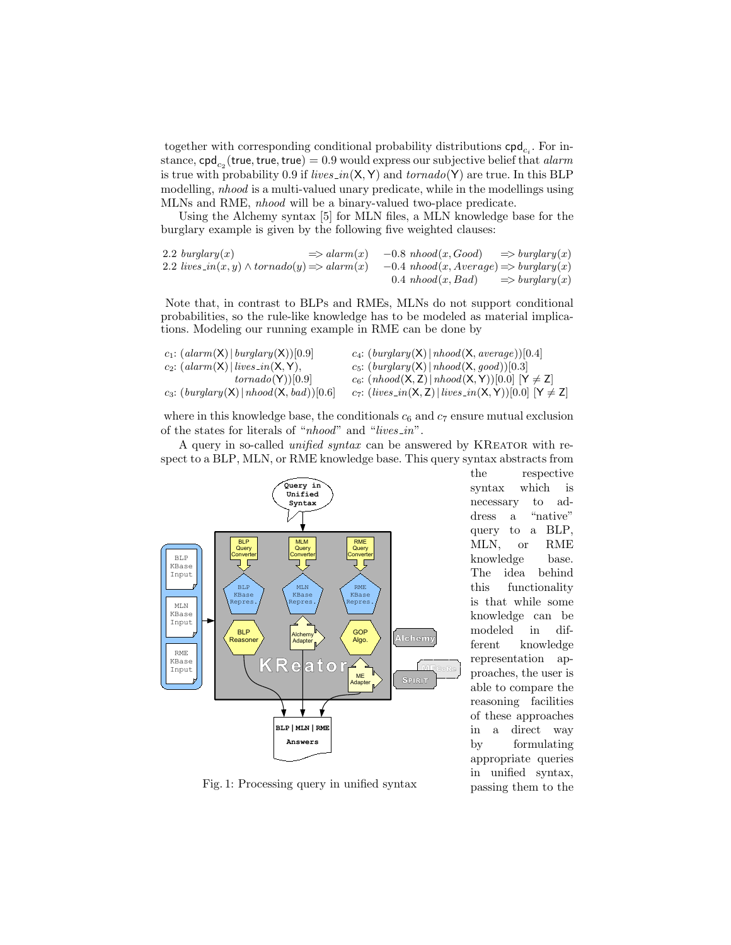together with corresponding conditional probability distributions  $\mathsf{cpd}_{c_i}$ . For instance,  $\mathsf{cpd}_{c_2}(\mathsf{true},\mathsf{true},\mathsf{true}) = 0.9$  would express our subjective belief that  $\mathit{alarm}$ is true with probability 0.9 if lives  $in(X, Y)$  and  $tornado(Y)$  are true. In this BLP modelling, nhood is a multi-valued unary predicate, while in the modellings using MLNs and RME, nhood will be a binary-valued two-place predicate.

Using the Alchemy syntax [5] for MLN files, a MLN knowledge base for the burglary example is given by the following five weighted clauses:

| 2.2 burglary $(x)$                                           | $\Rightarrow$ alarm $(x)$ | $-0.8 \; n \cdot (x, Good)$                             | $\Rightarrow$ burglary(x) |
|--------------------------------------------------------------|---------------------------|---------------------------------------------------------|---------------------------|
| 2.2 lives_in(x, y) $\land$ tornado(y) $\Rightarrow$ alarm(x) |                           | $-0.4 \; nhood(x, Average) \Longrightarrow burglary(x)$ |                           |
|                                                              |                           | $0.4 \; n \cdot d(x, Bad)$                              | $\Rightarrow$ burglary(x) |

Note that, in contrast to BLPs and RMEs, MLNs do not support conditional probabilities, so the rule-like knowledge has to be modeled as material implications. Modeling our running example in RME can be done by

| $c_1$ : $(alarm(X)   burglary(X))$ [0.9]     | $c_4$ : $(burglary(X)   nhood(X, average))$ [0.4]           |
|----------------------------------------------|-------------------------------------------------------------|
| $c_2$ : $(alarm(X)   lives_in(X, Y),$        | c <sub>5</sub> : $(burglary(X)   nhood(X, good))$ [0.3]     |
| $tornado(Y)$ [0.9]                           | $c_6$ : $(nhood(X, Z)   nhood(X, Y))$ [0.0] $[Y \neq Z]$    |
| $c_3$ : $(burglary(X)   nhood(X, bad))[0.6]$ | $c_7$ : (lives_in(X, Z)   lives_in(X, Y))[0.0] $[Y \neq Z]$ |

where in this knowledge base, the conditionals  $c_6$  and  $c_7$  ensure mutual exclusion of the states for literals of " $\imath$ hood" and "lives\_in".

A query in so-called *unified syntax* can be answered by KREATOR with respect to a BLP, MLN, or RME knowledge base. This query syntax abstracts from



Fig. 1: Processing query in unified syntax

the respective syntax which is necessary to address a "native" query to a BLP, MLN, or RME knowledge base. The idea behind this functionality is that while some knowledge can be modeled in different knowledge representation approaches, the user is able to compare the reasoning facilities of these approaches in a direct way by formulating appropriate queries in unified syntax, passing them to the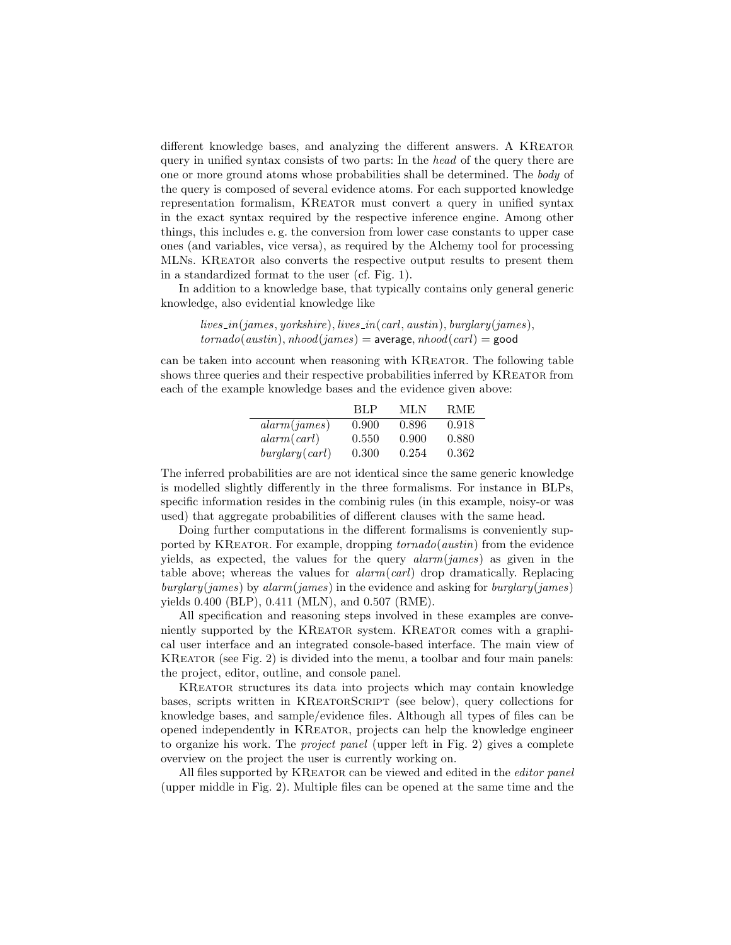different knowledge bases, and analyzing the different answers. A KREATOR query in unified syntax consists of two parts: In the head of the query there are one or more ground atoms whose probabilities shall be determined. The body of the query is composed of several evidence atoms. For each supported knowledge representation formalism, KREATOR must convert a query in unified syntax in the exact syntax required by the respective inference engine. Among other things, this includes e. g. the conversion from lower case constants to upper case ones (and variables, vice versa), as required by the Alchemy tool for processing MLNs. KReator also converts the respective output results to present them in a standardized format to the user (cf. Fig. 1).

In addition to a knowledge base, that typically contains only general generic knowledge, also evidential knowledge like

 $lives_in(james, yorkshire)$ , lives  $_in(carl, austin)$ , burglary(james),  $tornado(austin), nhood(james) = average, nhood(carl) = good$ 

can be taken into account when reasoning with KREATOR. The following table shows three queries and their respective probabilities inferred by KREATOR from each of the example knowledge bases and the evidence given above:

|                | BLP   | MLN.  | <b>RME</b> |
|----------------|-------|-------|------------|
| alarm(james)   | 0.900 | 0.896 | 0.918      |
| alarm(carl)    | 0.550 | 0.900 | 0.880      |
| burglary(carl) | 0.300 | 0.254 | 0.362      |

The inferred probabilities are are not identical since the same generic knowledge is modelled slightly differently in the three formalisms. For instance in BLPs, specific information resides in the combinig rules (in this example, noisy-or was used) that aggregate probabilities of different clauses with the same head.

Doing further computations in the different formalisms is conveniently supported by KREATOR. For example, dropping *tornado(austin)* from the evidence yields, as expected, the values for the query  $\operatorname{alarm}(\text{james})$  as given in the table above; whereas the values for  $alarm(carl)$  drop dramatically. Replacing burglary(james) by alarm(james) in the evidence and asking for burglary(james) yields 0.400 (BLP), 0.411 (MLN), and 0.507 (RME).

All specification and reasoning steps involved in these examples are conveniently supported by the KREATOR system. KREATOR comes with a graphical user interface and an integrated console-based interface. The main view of KREATOR (see Fig. 2) is divided into the menu, a toolbar and four main panels: the project, editor, outline, and console panel.

KReator structures its data into projects which may contain knowledge bases, scripts written in KReatorScript (see below), query collections for knowledge bases, and sample/evidence files. Although all types of files can be opened independently in KReator, projects can help the knowledge engineer to organize his work. The project panel (upper left in Fig. 2) gives a complete overview on the project the user is currently working on.

All files supported by KREATOR can be viewed and edited in the editor panel (upper middle in Fig. 2). Multiple files can be opened at the same time and the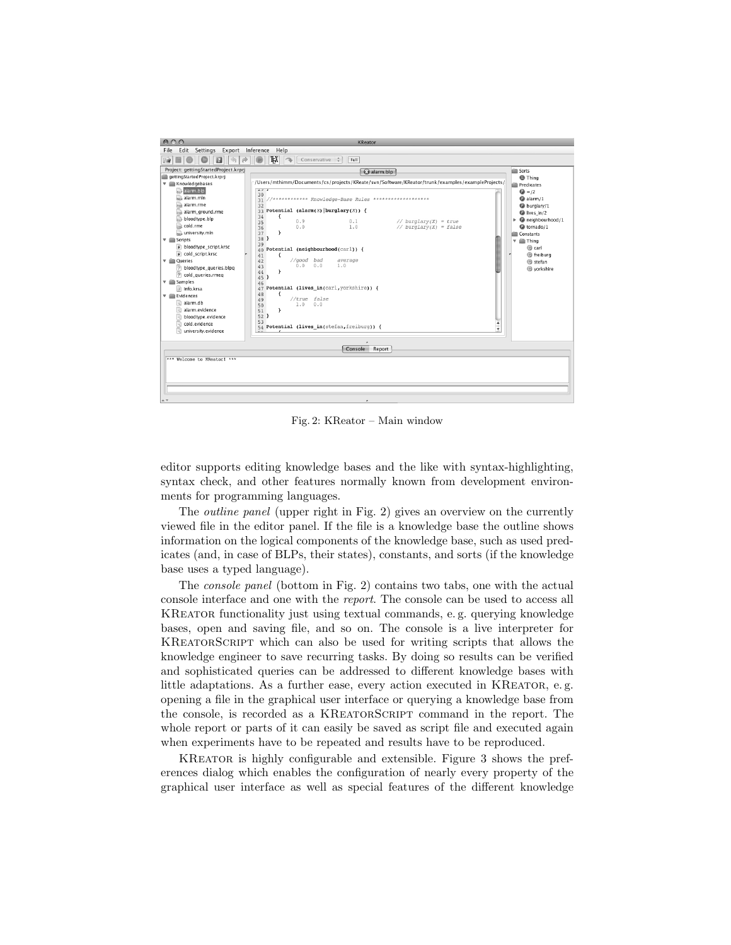

Fig. 2: KReator – Main window

editor supports editing knowledge bases and the like with syntax-highlighting, syntax check, and other features normally known from development environments for programming languages.

The outline panel (upper right in Fig. 2) gives an overview on the currently viewed file in the editor panel. If the file is a knowledge base the outline shows information on the logical components of the knowledge base, such as used predicates (and, in case of BLPs, their states), constants, and sorts (if the knowledge base uses a typed language).

The console panel (bottom in Fig. 2) contains two tabs, one with the actual console interface and one with the report. The console can be used to access all KREATOR functionality just using textual commands, e.g. querying knowledge bases, open and saving file, and so on. The console is a live interpreter for KReatorScript which can also be used for writing scripts that allows the knowledge engineer to save recurring tasks. By doing so results can be verified and sophisticated queries can be addressed to different knowledge bases with little adaptations. As a further ease, every action executed in KREATOR, e.g. opening a file in the graphical user interface or querying a knowledge base from the console, is recorded as a KREATORSCRIPT command in the report. The whole report or parts of it can easily be saved as script file and executed again when experiments have to be repeated and results have to be reproduced.

KREATOR is highly configurable and extensible. Figure 3 shows the preferences dialog which enables the configuration of nearly every property of the graphical user interface as well as special features of the different knowledge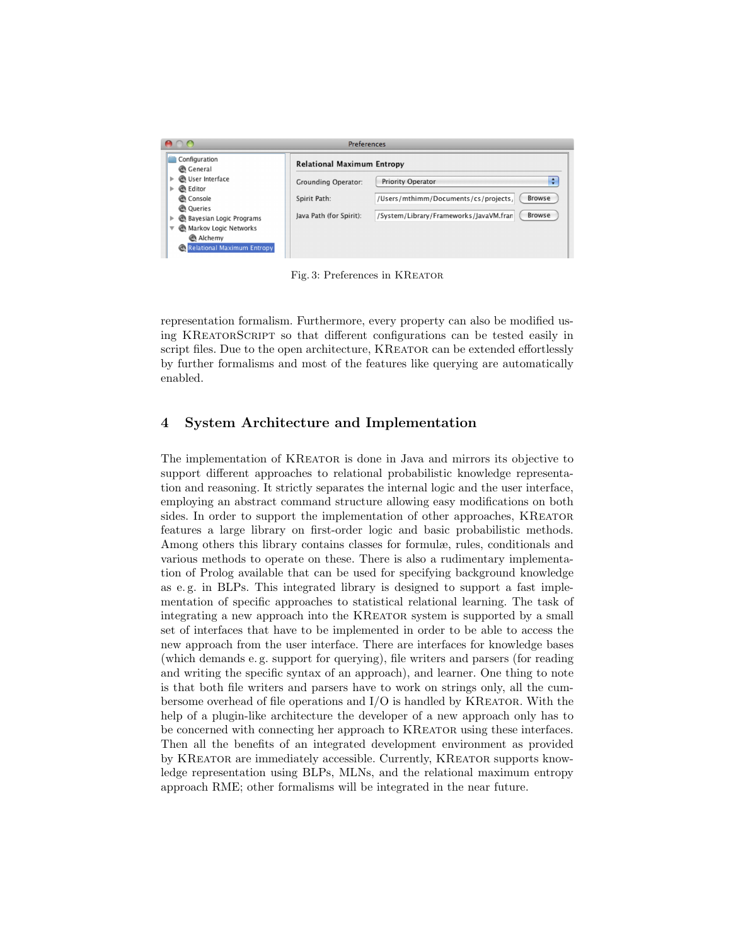| $\sqrt{2}$                                                                                                                                                                                    | <b>Preferences</b>                                                                                         |                                                                                                                                                   |  |
|-----------------------------------------------------------------------------------------------------------------------------------------------------------------------------------------------|------------------------------------------------------------------------------------------------------------|---------------------------------------------------------------------------------------------------------------------------------------------------|--|
| Configuration<br>General<br>User Interface<br><b>&amp;</b> Editor<br>Console<br>@ Queries<br><b>Bayesian Logic Programs</b><br>Markov Logic Networks<br>Alchemy<br>Relational Maximum Entropy | <b>Relational Maximum Entropy</b><br><b>Grounding Operator:</b><br>Spirit Path:<br>Java Path (for Spirit): | ٠<br><b>Priority Operator</b><br><b>Browse</b><br>/Users/mthimm/Documents/cs/projects,<br><b>Browse</b><br>/System/Library/Frameworks/JavaVM.fran |  |

Fig. 3: Preferences in KREATOR

representation formalism. Furthermore, every property can also be modified using KReatorScript so that different configurations can be tested easily in script files. Due to the open architecture, KREATOR can be extended effortlessly by further formalisms and most of the features like querying are automatically enabled.

## 4 System Architecture and Implementation

The implementation of KREATOR is done in Java and mirrors its objective to support different approaches to relational probabilistic knowledge representation and reasoning. It strictly separates the internal logic and the user interface, employing an abstract command structure allowing easy modifications on both sides. In order to support the implementation of other approaches, KREATOR features a large library on first-order logic and basic probabilistic methods. Among others this library contains classes for formulæ, rules, conditionals and various methods to operate on these. There is also a rudimentary implementation of Prolog available that can be used for specifying background knowledge as e. g. in BLPs. This integrated library is designed to support a fast implementation of specific approaches to statistical relational learning. The task of integrating a new approach into the KREATOR system is supported by a small set of interfaces that have to be implemented in order to be able to access the new approach from the user interface. There are interfaces for knowledge bases (which demands e. g. support for querying), file writers and parsers (for reading and writing the specific syntax of an approach), and learner. One thing to note is that both file writers and parsers have to work on strings only, all the cumbersome overhead of file operations and  $I/O$  is handled by KREATOR. With the help of a plugin-like architecture the developer of a new approach only has to be concerned with connecting her approach to KREATOR using these interfaces. Then all the benefits of an integrated development environment as provided by KREATOR are immediately accessible. Currently, KREATOR supports knowledge representation using BLPs, MLNs, and the relational maximum entropy approach RME; other formalisms will be integrated in the near future.